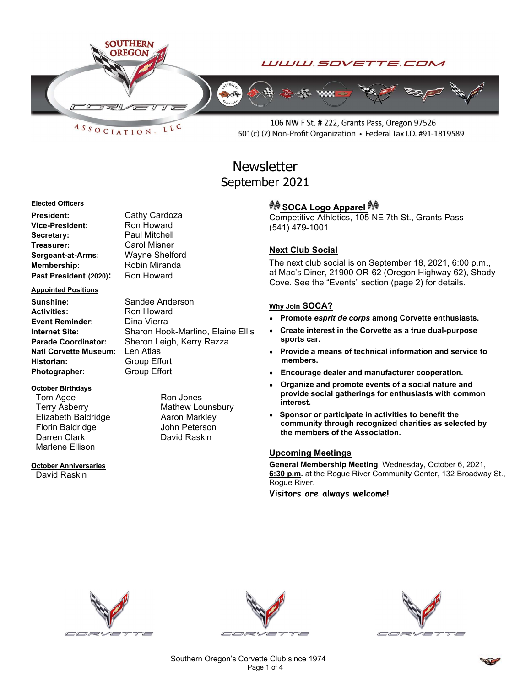

 $ASSOCIATION$ LLC

106 NW F St. # 222, Grants Pass, Oregon 97526 501(c) (7) Non-Profit Organization • Federal Tax I.D. #91-1819589

# **Newsletter** September 2021

#### Elected Officers

President: Cathy Cardoza Vice-President: Ron Howard Secretary: Paul Mitchell Treasurer: Carol Misner Sergeant-at-Arms: Wayne Shelford Membership: Robin Miranda Past President (2020): Ron Howard

#### Appointed Positions

Sunshine: Sandee Anderson Activities: Ron Howard Event Reminder: Dina Vierra Natl Corvette Museum: Len Atlas Historian: Group Effort Photographer: Group Effort

### October Birthdays

Tom Agee Ron Jones Terry Asberry **Mathew Lounsbury** Elizabeth Baldridge **Aaron Markley** Florin Baldridge John Peterson Darren Clark David Raskin Marlene Ellison

# October Anniversaries

David Raskin

Internet Site: Sharon Hook-Martino, Elaine Ellis Parade Coordinator: Sheron Leigh, Kerry Razza

## *<sup>ঞ্চুৰু</sup>* SOCA Logo Apparel <sup>കൃ</sup>

Competitive Athletics, 105 NE 7th St., Grants Pass (541) 479-1001

## Next Club Social

The next club social is on September 18, 2021, 6:00 p.m., at Mac's Diner, 21900 OR-62 (Oregon Highway 62), Shady Cove. See the "Events" section (page 2) for details.

### Why Join SOCA?

- Promote esprit de corps among Corvette enthusiasts.
- Create interest in the Corvette as a true dual-purpose sports car.
- Provide a means of technical information and service to members.
- Encourage dealer and manufacturer cooperation.
- Organize and promote events of a social nature and provide social gatherings for enthusiasts with common interest.
- Sponsor or participate in activities to benefit the community through recognized charities as selected by the members of the Association.

### Upcoming Meetings

General Membership Meeting, Wednesday, October 6, 2021, 6:30 p.m. at the Rogue River Community Center, 132 Broadway St., Rogue River.

Visitors are always welcome!



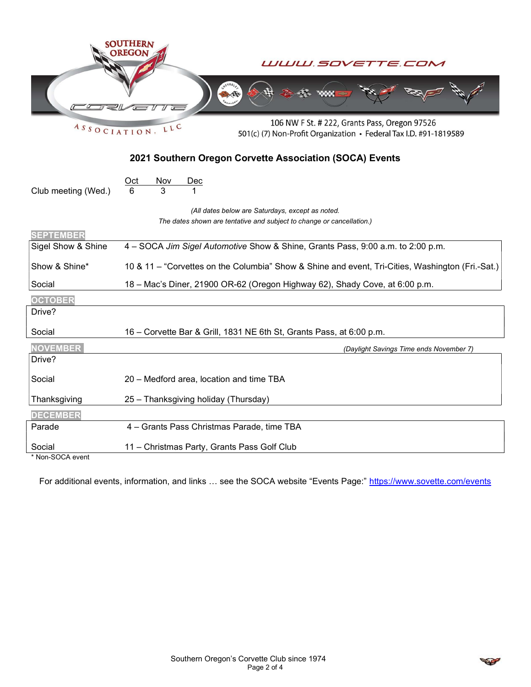| ASSOCIATION                                             | <b>SOUTHERN</b><br>WWW.SOVETTE.COM<br>106 NW F St. # 222, Grants Pass, Oregon 97526<br>LLC<br>501(c) (7) Non-Profit Organization • Federal Tax I.D. #91-1819589 |
|---------------------------------------------------------|-----------------------------------------------------------------------------------------------------------------------------------------------------------------|
| 2021 Southern Oregon Corvette Association (SOCA) Events |                                                                                                                                                                 |
| Club meeting (Wed.)                                     | $Oct$<br><u>Nov</u><br><u>Dec</u><br>3<br>6                                                                                                                     |
|                                                         | (All dates below are Saturdays, except as noted.                                                                                                                |
| <b>SEPTEMBER</b>                                        | The dates shown are tentative and subject to change or cancellation.)                                                                                           |
| Sigel Show & Shine                                      | 4 – SOCA Jim Sigel Automotive Show & Shine, Grants Pass, 9:00 a.m. to 2:00 p.m.                                                                                 |
| Show & Shine*                                           | 10 & 11 – "Corvettes on the Columbia" Show & Shine and event, Tri-Cities, Washington (Fri.-Sat.)                                                                |
| Social                                                  | 18 - Mac's Diner, 21900 OR-62 (Oregon Highway 62), Shady Cove, at 6:00 p.m.                                                                                     |
| <b>OCTOBER</b>                                          |                                                                                                                                                                 |
| Drive?                                                  |                                                                                                                                                                 |
| Social                                                  | 16 - Corvette Bar & Grill, 1831 NE 6th St, Grants Pass, at 6:00 p.m.                                                                                            |
| <b>NOVEMBER</b>                                         | (Daylight Savings Time ends November 7)                                                                                                                         |
| Drive?                                                  |                                                                                                                                                                 |
| Social                                                  | 20 - Medford area, location and time TBA                                                                                                                        |
| Thanksgiving                                            | 25 - Thanksgiving holiday (Thursday)                                                                                                                            |
| <b>DECEMBER</b>                                         |                                                                                                                                                                 |
| Parade                                                  | 4 - Grants Pass Christmas Parade, time TBA                                                                                                                      |
| Social<br>Non-SOCA event                                | 11 - Christmas Party, Grants Pass Golf Club                                                                                                                     |

For additional events, information, and links ... see the SOCA website "Events Page:" https://www.sovette.com/events

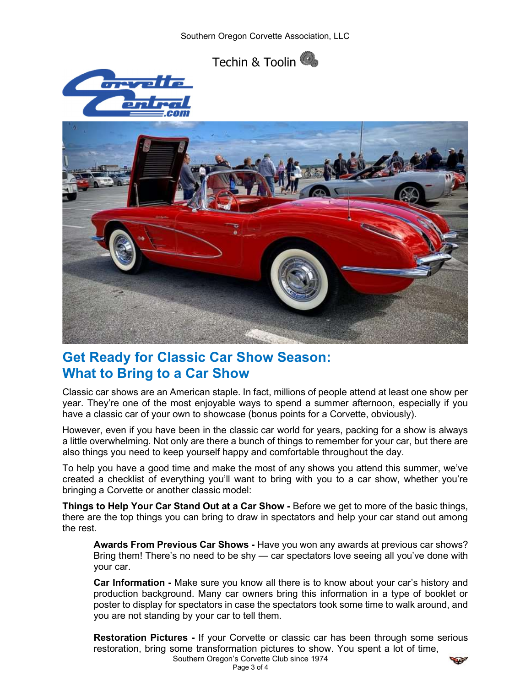





# Get Ready for Classic Car Show Season: What to Bring to a Car Show

Classic car shows are an American staple. In fact, millions of people attend at least one show per year. They're one of the most enjoyable ways to spend a summer afternoon, especially if you have a classic car of your own to showcase (bonus points for a Corvette, obviously).

However, even if you have been in the classic car world for years, packing for a show is always a little overwhelming. Not only are there a bunch of things to remember for your car, but there are also things you need to keep yourself happy and comfortable throughout the day.

To help you have a good time and make the most of any shows you attend this summer, we've created a checklist of everything you'll want to bring with you to a car show, whether you're bringing a Corvette or another classic model:

Things to Help Your Car Stand Out at a Car Show - Before we get to more of the basic things, there are the top things you can bring to draw in spectators and help your car stand out among the rest.

Awards From Previous Car Shows - Have you won any awards at previous car shows? Bring them! There's no need to be shy — car spectators love seeing all you've done with your car.

Car Information - Make sure you know all there is to know about your car's history and production background. Many car owners bring this information in a type of booklet or poster to display for spectators in case the spectators took some time to walk around, and you are not standing by your car to tell them.

Restoration Pictures - If your Corvette or classic car has been through some serious restoration, bring some transformation pictures to show. You spent a lot of time,